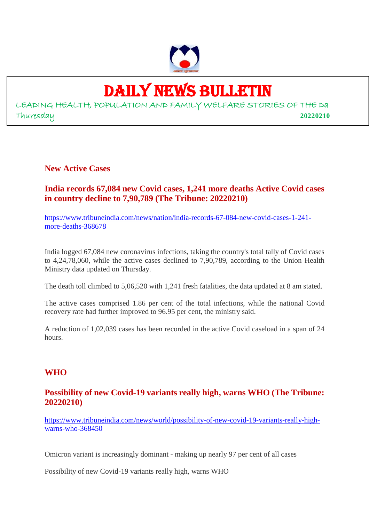

# DAILY NEWS BULLETIN

LEADING HEALTH, POPULATION AND FAMILY WELFARE STORIES OF THE Da Thuresday **20220210**

**New Active Cases**

**India records 67,084 new Covid cases, 1,241 more deaths Active Covid cases in country decline to 7,90,789 (The Tribune: 20220210)**

https://www.tribuneindia.com/news/nation/india-records-67-084-new-covid-cases-1-241 more-deaths-368678

India logged 67,084 new coronavirus infections, taking the country's total tally of Covid cases to 4,24,78,060, while the active cases declined to 7,90,789, according to the Union Health Ministry data updated on Thursday.

The death toll climbed to 5,06,520 with 1,241 fresh fatalities, the data updated at 8 am stated.

The active cases comprised 1.86 per cent of the total infections, while the national Covid recovery rate had further improved to 96.95 per cent, the ministry said.

A reduction of 1,02,039 cases has been recorded in the active Covid caseload in a span of 24 hours.

# **WHO**

# **Possibility of new Covid-19 variants really high, warns WHO (The Tribune: 20220210)**

https://www.tribuneindia.com/news/world/possibility-of-new-covid-19-variants-really-highwarns-who-368450

Omicron variant is increasingly dominant - making up nearly 97 per cent of all cases

Possibility of new Covid-19 variants really high, warns WHO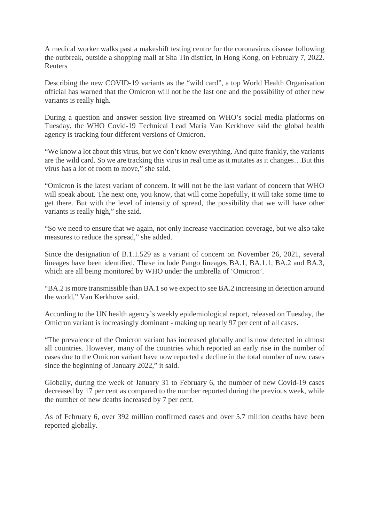A medical worker walks past a makeshift testing centre for the coronavirus disease following the outbreak, outside a shopping mall at Sha Tin district, in Hong Kong, on February 7, 2022. Reuters

Describing the new COVID-19 variants as the "wild card", a top World Health Organisation official has warned that the Omicron will not be the last one and the possibility of other new variants is really high.

During a question and answer session live streamed on WHO's social media platforms on Tuesday, the WHO Covid-19 Technical Lead Maria Van Kerkhove said the global health agency is tracking four different versions of Omicron.

"We know a lot about this virus, but we don't know everything. And quite frankly, the variants are the wild card. So we are tracking this virus in real time as it mutates as it changes…But this virus has a lot of room to move," she said.

"Omicron is the latest variant of concern. It will not be the last variant of concern that WHO will speak about. The next one, you know, that will come hopefully, it will take some time to get there. But with the level of intensity of spread, the possibility that we will have other variants is really high," she said.

"So we need to ensure that we again, not only increase vaccination coverage, but we also take measures to reduce the spread," she added.

Since the designation of B.1.1.529 as a variant of concern on November 26, 2021, several lineages have been identified. These include Pango lineages BA.1, BA.1.1, BA.2 and BA.3, which are all being monitored by WHO under the umbrella of 'Omicron'.

"BA.2 is more transmissible than BA.1 so we expect to see BA.2 increasing in detection around the world," Van Kerkhove said.

According to the UN health agency's weekly epidemiological report, released on Tuesday, the Omicron variant is increasingly dominant - making up nearly 97 per cent of all cases.

"The prevalence of the Omicron variant has increased globally and is now detected in almost all countries. However, many of the countries which reported an early rise in the number of cases due to the Omicron variant have now reported a decline in the total number of new cases since the beginning of January 2022," it said.

Globally, during the week of January 31 to February 6, the number of new Covid-19 cases decreased by 17 per cent as compared to the number reported during the previous week, while the number of new deaths increased by 7 per cent.

As of February 6, over 392 million confirmed cases and over 5.7 million deaths have been reported globally.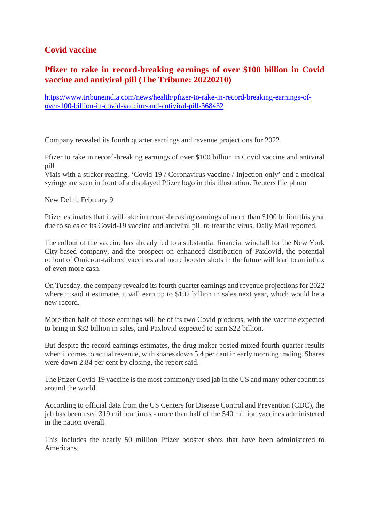# **Covid vaccine**

# **Pfizer to rake in record-breaking earnings of over \$100 billion in Covid vaccine and antiviral pill (The Tribune: 20220210)**

https://www.tribuneindia.com/news/health/pfizer-to-rake-in-record-breaking-earnings-ofover-100-billion-in-covid-vaccine-and-antiviral-pill-368432

Company revealed its fourth quarter earnings and revenue projections for 2022

Pfizer to rake in record-breaking earnings of over \$100 billion in Covid vaccine and antiviral pill

Vials with a sticker reading, 'Covid-19 / Coronavirus vaccine / Injection only' and a medical syringe are seen in front of a displayed Pfizer logo in this illustration. Reuters file photo

New Delhi, February 9

Pfizer estimates that it will rake in record-breaking earnings of more than \$100 billion this year due to sales of its Covid-19 vaccine and antiviral pill to treat the virus, Daily Mail reported.

The rollout of the vaccine has already led to a substantial financial windfall for the New York City-based company, and the prospect on enhanced distribution of Paxlovid, the potential rollout of Omicron-tailored vaccines and more booster shots in the future will lead to an influx of even more cash.

On Tuesday, the company revealed its fourth quarter earnings and revenue projections for 2022 where it said it estimates it will earn up to \$102 billion in sales next year, which would be a new record.

More than half of those earnings will be of its two Covid products, with the vaccine expected to bring in \$32 billion in sales, and Paxlovid expected to earn \$22 billion.

But despite the record earnings estimates, the drug maker posted mixed fourth-quarter results when it comes to actual revenue, with shares down 5.4 per cent in early morning trading. Shares were down 2.84 per cent by closing, the report said.

The Pfizer Covid-19 vaccine is the most commonly used jab in the US and many other countries around the world.

According to official data from the US Centers for Disease Control and Prevention (CDC), the jab has been used 319 million times - more than half of the 540 million vaccines administered in the nation overall.

This includes the nearly 50 million Pfizer booster shots that have been administered to Americans.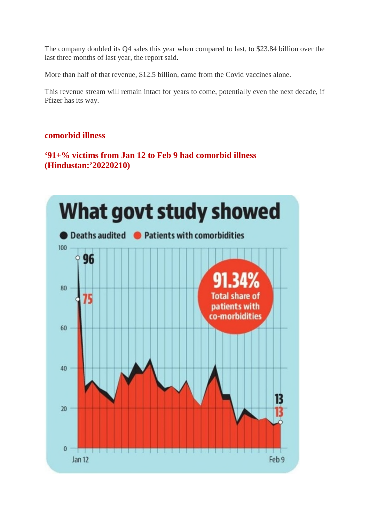The company doubled its Q4 sales this year when compared to last, to \$23.84 billion over the last three months of last year, the report said.

More than half of that revenue, \$12.5 billion, came from the Covid vaccines alone.

This revenue stream will remain intact for years to come, potentially even the next decade, if Pfizer has its way.

## **comorbid illness**

**'91+% victims from Jan 12 to Feb 9 had comorbid illness (Hindustan:'20220210)**

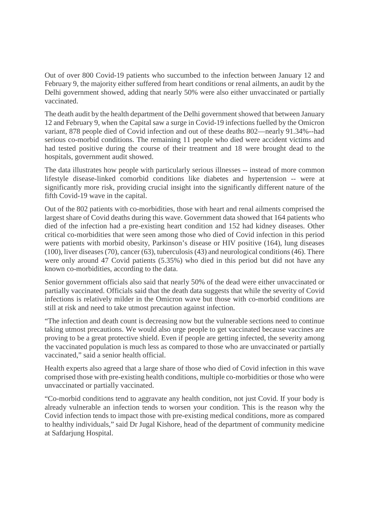Out of over 800 Covid-19 patients who succumbed to the infection between January 12 and February 9, the majority either suffered from heart conditions or renal ailments, an audit by the Delhi government showed, adding that nearly 50% were also either unvaccinated or partially vaccinated.

The death audit by the health department of the Delhi government showed that between January 12 and February 9, when the Capital saw a surge in Covid-19 infections fuelled by the Omicron variant, 878 people died of Covid infection and out of these deaths 802—nearly 91.34%--had serious co-morbid conditions. The remaining 11 people who died were accident victims and had tested positive during the course of their treatment and 18 were brought dead to the hospitals, government audit showed.

The data illustrates how people with particularly serious illnesses -- instead of more common lifestyle disease-linked comorbid conditions like diabetes and hypertension -- were at significantly more risk, providing crucial insight into the significantly different nature of the fifth Covid-19 wave in the capital.

Out of the 802 patients with co-morbidities, those with heart and renal ailments comprised the largest share of Covid deaths during this wave. Government data showed that 164 patients who died of the infection had a pre-existing heart condition and 152 had kidney diseases. Other critical co-morbidities that were seen among those who died of Covid infection in this period were patients with morbid obesity, Parkinson's disease or HIV positive (164), lung diseases (100), liver diseases (70), cancer (63), tuberculosis (43) and neurological conditions (46). There were only around 47 Covid patients (5.35%) who died in this period but did not have any known co-morbidities, according to the data.

Senior government officials also said that nearly 50% of the dead were either unvaccinated or partially vaccinated. Officials said that the death data suggests that while the severity of Covid infections is relatively milder in the Omicron wave but those with co-morbid conditions are still at risk and need to take utmost precaution against infection.

"The infection and death count is decreasing now but the vulnerable sections need to continue taking utmost precautions. We would also urge people to get vaccinated because vaccines are proving to be a great protective shield. Even if people are getting infected, the severity among the vaccinated population is much less as compared to those who are unvaccinated or partially vaccinated," said a senior health official.

Health experts also agreed that a large share of those who died of Covid infection in this wave comprised those with pre-existing health conditions, multiple co-morbidities or those who were unvaccinated or partially vaccinated.

"Co-morbid conditions tend to aggravate any health condition, not just Covid. If your body is already vulnerable an infection tends to worsen your condition. This is the reason why the Covid infection tends to impact those with pre-existing medical conditions, more as compared to healthy individuals," said Dr Jugal Kishore, head of the department of community medicine at Safdarjung Hospital.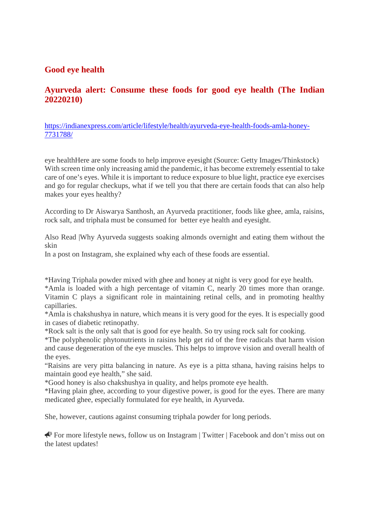# **Good eye health**

# **Ayurveda alert: Consume these foods for good eye health (The Indian 20220210)**

https://indianexpress.com/article/lifestyle/health/ayurveda-eye-health-foods-amla-honey-7731788/

eye healthHere are some foods to help improve eyesight (Source: Getty Images/Thinkstock) With screen time only increasing amid the pandemic, it has become extremely essential to take care of one's eyes. While it is important to reduce exposure to blue light, practice eye exercises and go for regular checkups, what if we tell you that there are certain foods that can also help makes your eyes healthy?

According to Dr Aiswarya Santhosh, an Ayurveda practitioner, foods like ghee, amla, raisins, rock salt, and triphala must be consumed for better eye health and eyesight.

Also Read |Why Ayurveda suggests soaking almonds overnight and eating them without the skin

In a post on Instagram, she explained why each of these foods are essential.

\*Having Triphala powder mixed with ghee and honey at night is very good for eye health.

\*Amla is loaded with a high percentage of vitamin C, nearly 20 times more than orange. Vitamin C plays a significant role in maintaining retinal cells, and in promoting healthy capillaries.

\*Amla is chakshushya in nature, which means it is very good for the eyes. It is especially good in cases of diabetic retinopathy.

\*Rock salt is the only salt that is good for eye health. So try using rock salt for cooking.

\*The polyphenolic phytonutrients in raisins help get rid of the free radicals that harm vision and cause degeneration of the eye muscles. This helps to improve vision and overall health of the eyes.

"Raisins are very pitta balancing in nature. As eye is a pitta sthana, having raisins helps to maintain good eye health," she said.

\*Good honey is also chakshushya in quality, and helps promote eye health.

\*Having plain ghee, according to your digestive power, is good for the eyes. There are many medicated ghee, especially formulated for eye health, in Ayurveda.

She, however, cautions against consuming triphala powder for long periods.

 For more lifestyle news, follow us on Instagram | Twitter | Facebook and don't miss out on the latest updates!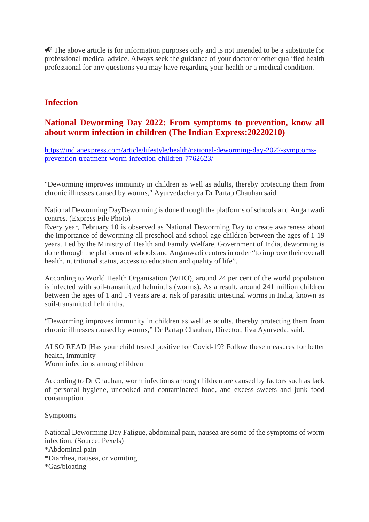$\triangle$  The above article is for information purposes only and is not intended to be a substitute for professional medical advice. Always seek the guidance of your doctor or other qualified health professional for any questions you may have regarding your health or a medical condition.

# **Infection**

## **National Deworming Day 2022: From symptoms to prevention, know all about worm infection in children (The Indian Express:20220210)**

https://indianexpress.com/article/lifestyle/health/national-deworming-day-2022-symptomsprevention-treatment-worm-infection-children-7762623/

"Deworming improves immunity in children as well as adults, thereby protecting them from chronic illnesses caused by worms," Ayurvedacharya Dr Partap Chauhan said

National Deworming DayDeworming is done through the platforms of schools and Anganwadi centres. (Express File Photo)

Every year, February 10 is observed as National Deworming Day to create awareness about the importance of deworming all preschool and school-age children between the ages of 1-19 years. Led by the Ministry of Health and Family Welfare, Government of India, deworming is done through the platforms of schools and Anganwadi centres in order "to improve their overall health, nutritional status, access to education and quality of life".

According to World Health Organisation (WHO), around 24 per cent of the world population is infected with soil-transmitted helminths (worms). As a result, around 241 million children between the ages of 1 and 14 years are at risk of parasitic intestinal worms in India, known as soil-transmitted helminths.

"Deworming improves immunity in children as well as adults, thereby protecting them from chronic illnesses caused by worms," Dr Partap Chauhan, Director, Jiva Ayurveda, said.

ALSO READ |Has your child tested positive for Covid-19? Follow these measures for better health, immunity Worm infections among children

According to Dr Chauhan, worm infections among children are caused by factors such as lack

of personal hygiene, uncooked and contaminated food, and excess sweets and junk food consumption.

#### Symptoms

National Deworming Day Fatigue, abdominal pain, nausea are some of the symptoms of worm infection. (Source: Pexels) \*Abdominal pain

- \*Diarrhea, nausea, or vomiting
- \*Gas/bloating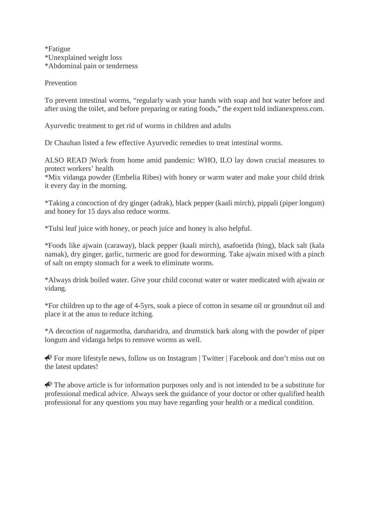\*Fatigue \*Unexplained weight loss \*Abdominal pain or tenderness

Prevention

To prevent intestinal worms, "regularly wash your hands with soap and hot water before and after using the toilet, and before preparing or eating foods," the expert told indianexpress.com.

Ayurvedic treatment to get rid of worms in children and adults

Dr Chauhan listed a few effective Ayurvedic remedies to treat intestinal worms.

ALSO READ |Work from home amid pandemic: WHO, ILO lay down crucial measures to protect workers' health

\*Mix vidanga powder (Embelia Ribes) with honey or warm water and make your child drink it every day in the morning.

\*Taking a concoction of dry ginger (adrak), black pepper (kaali mirch), pippali (piper longum) and honey for 15 days also reduce worms.

\*Tulsi leaf juice with honey, or peach juice and honey is also helpful.

\*Foods like ajwain (caraway), black pepper (kaali mirch), asafoetida (hing), black salt (kala namak), dry ginger, garlic, turmeric are good for deworming. Take ajwain mixed with a pinch of salt on empty stomach for a week to eliminate worms.

\*Always drink boiled water. Give your child coconut water or water medicated with ajwain or vidang.

\*For children up to the age of 4-5yrs, soak a piece of cotton in sesame oil or groundnut oil and place it at the anus to reduce itching.

\*A decoction of nagarmotha, daruharidra, and drumstick bark along with the powder of piper longum and vidanga helps to remove worms as well.

For more lifestyle news, follow us on Instagram | Twitter | Facebook and don't miss out on the latest updates!

 $\triangle$  The above article is for information purposes only and is not intended to be a substitute for professional medical advice. Always seek the guidance of your doctor or other qualified health professional for any questions you may have regarding your health or a medical condition.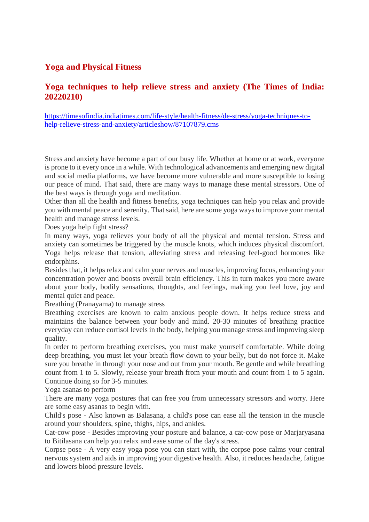# **Yoga and Physical Fitness**

# **Yoga techniques to help relieve stress and anxiety (The Times of India: 20220210)**

https://timesofindia.indiatimes.com/life-style/health-fitness/de-stress/yoga-techniques-tohelp-relieve-stress-and-anxiety/articleshow/87107879.cms

Stress and anxiety have become a part of our busy life. Whether at home or at work, everyone is prone to it every once in a while. With technological advancements and emerging new digital and social media platforms, we have become more vulnerable and more susceptible to losing our peace of mind. That said, there are many ways to manage these mental stressors. One of the best ways is through yoga and meditation.

Other than all the health and fitness benefits, yoga techniques can help you relax and provide you with mental peace and serenity. That said, here are some yoga ways to improve your mental health and manage stress levels.

Does yoga help fight stress?

In many ways, yoga relieves your body of all the physical and mental tension. Stress and anxiety can sometimes be triggered by the muscle knots, which induces physical discomfort. Yoga helps release that tension, alleviating stress and releasing feel-good hormones like endorphins.

Besides that, it helps relax and calm your nerves and muscles, improving focus, enhancing your concentration power and boosts overall brain efficiency. This in turn makes you more aware about your body, bodily sensations, thoughts, and feelings, making you feel love, joy and mental quiet and peace.

Breathing (Pranayama) to manage stress

Breathing exercises are known to calm anxious people down. It helps reduce stress and maintains the balance between your body and mind. 20-30 minutes of breathing practice everyday can reduce cortisol levels in the body, helping you manage stress and improving sleep quality.

In order to perform breathing exercises, you must make yourself comfortable. While doing deep breathing, you must let your breath flow down to your belly, but do not force it. Make sure you breathe in through your nose and out from your mouth. Be gentle and while breathing count from 1 to 5. Slowly, release your breath from your mouth and count from 1 to 5 again. Continue doing so for 3-5 minutes.

Yoga asanas to perform

There are many yoga postures that can free you from unnecessary stressors and worry. Here are some easy asanas to begin with.

Child's pose - Also known as Balasana, a child's pose can ease all the tension in the muscle around your shoulders, spine, thighs, hips, and ankles.

Cat-cow pose - Besides improving your posture and balance, a cat-cow pose or Marjaryasana to Bitilasana can help you relax and ease some of the day's stress.

Corpse pose - A very easy yoga pose you can start with, the corpse pose calms your central nervous system and aids in improving your digestive health. Also, it reduces headache, fatigue and lowers blood pressure levels.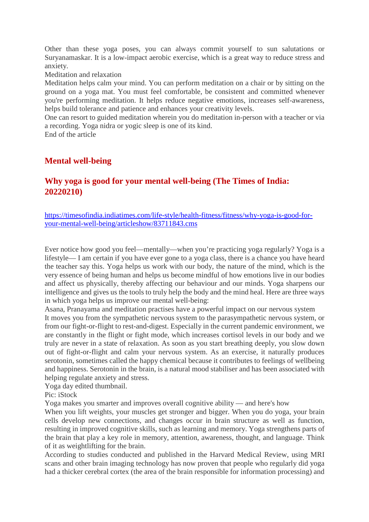Other than these yoga poses, you can always commit yourself to sun salutations or Suryanamaskar. It is a low-impact aerobic exercise, which is a great way to reduce stress and anxiety.

Meditation and relaxation

Meditation helps calm your mind. You can perform meditation on a chair or by sitting on the ground on a yoga mat. You must feel comfortable, be consistent and committed whenever you're performing meditation. It helps reduce negative emotions, increases self-awareness, helps build tolerance and patience and enhances your creativity levels.

One can resort to guided meditation wherein you do meditation in-person with a teacher or via a recording. Yoga nidra or yogic sleep is one of its kind.

End of the article

# **Mental well-being**

# **Why yoga is good for your mental well-being (The Times of India: 20220210)**

https://timesofindia.indiatimes.com/life-style/health-fitness/fitness/why-yoga-is-good-foryour-mental-well-being/articleshow/83711843.cms

Ever notice how good you feel—mentally—when you're practicing yoga regularly? Yoga is a lifestyle— I am certain if you have ever gone to a yoga class, there is a chance you have heard the teacher say this. Yoga helps us work with our body, the nature of the mind, which is the very essence of being human and helps us become mindful of how emotions live in our bodies and affect us physically, thereby affecting our behaviour and our minds. Yoga sharpens our intelligence and gives us the tools to truly help the body and the mind heal. Here are three ways in which yoga helps us improve our mental well-being:

Asana, Pranayama and meditation practises have a powerful impact on our nervous system It moves you from the sympathetic nervous system to the parasympathetic nervous system, or from our fight-or-flight to rest-and-digest. Especially in the current pandemic environment, we are constantly in the flight or fight mode, which increases cortisol levels in our body and we truly are never in a state of relaxation. As soon as you start breathing deeply, you slow down out of fight-or-flight and calm your nervous system. As an exercise, it naturally produces serotonin, sometimes called the happy chemical because it contributes to feelings of wellbeing and happiness. Serotonin in the brain, is a natural mood stabiliser and has been associated with helping regulate anxiety and stress.

Yoga day edited thumbnail.

Pic: iStock

Yoga makes you smarter and improves overall cognitive ability — and here's how

When you lift weights, your muscles get stronger and bigger. When you do yoga, your brain cells develop new connections, and changes occur in brain structure as well as function, resulting in improved cognitive skills, such as learning and memory. Yoga strengthens parts of the brain that play a key role in memory, attention, awareness, thought, and language. Think of it as weightlifting for the brain.

According to studies conducted and published in the Harvard Medical Review, using MRI scans and other brain imaging technology has now proven that people who regularly did yoga had a thicker cerebral cortex (the area of the brain responsible for information processing) and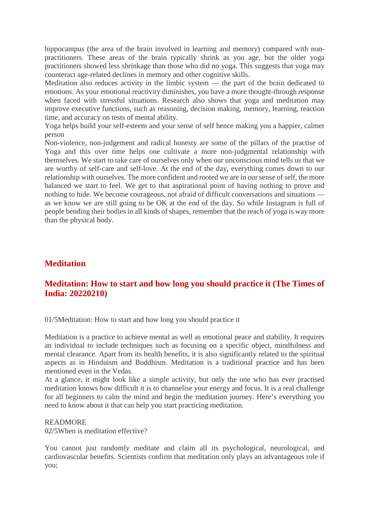hippocampus (the area of the brain involved in learning and memory) compared with nonpractitioners. These areas of the brain typically shrink as you age, but the older yoga practitioners showed less shrinkage than those who did no yoga. This suggests that yoga may counteract age-related declines in memory and other cognitive skills.

Meditation also reduces activity in the limbic system — the part of the brain dedicated to emotions. As your emotional reactivity diminishes, you have a more thought-through response when faced with stressful situations. Research also shows that yoga and meditation may improve executive functions, such as reasoning, decision making, memory, learning, reaction time, and accuracy on tests of mental ability.

Yoga helps build your self-esteem and your sense of self hence making you a happier, calmer person

Non-violence, non-judgement and radical honesty are some of the pillars of the practise of Yoga and this over time helps one cultivate a more non-judgmental relationship with themselves. We start to take care of ourselves only when our unconscious mind tells us that we are worthy of self-care and self-love. At the end of the day, everything comes down to our relationship with ourselves. The more confident and rooted we are in our sense of self, the more balanced we start to feel. We get to that aspirational point of having nothing to prove and nothing to hide. We become courageous, not afraid of difficult conversations and situations as we know we are still going to be OK at the end of the day. So while Instagram is full of people bending their bodies in all kinds of shapes, remember that the reach of yoga is way more than the physical body.

# **Meditation**

# **Meditation: How to start and how long you should practice it (The Times of India: 20220210)**

01/5Meditation: How to start and how long you should practice it

Meditation is a practice to achieve mental as well as emotional peace and stability. It requires an individual to include techniques such as focusing on a specific object, mindfulness and mental clearance. Apart from its health benefits, it is also significantly related to the spiritual aspects as in Hinduism and Buddhism. Meditation is a traditional practice and has been mentioned even in the Vedas.

At a glance, it might look like a simple activity, but only the one who has ever practised meditation knows how difficult it is to channelise your energy and focus. It is a real challenge for all beginners to calm the mind and begin the meditation journey. Here's everything you need to know about it that can help you start practicing meditation.

#### READMORE

02/5When is meditation effective?

You cannot just randomly meditate and claim all its psychological, neurological, and cardiovascular benefits. Scientists confirm that meditation only plays an advantageous role if you;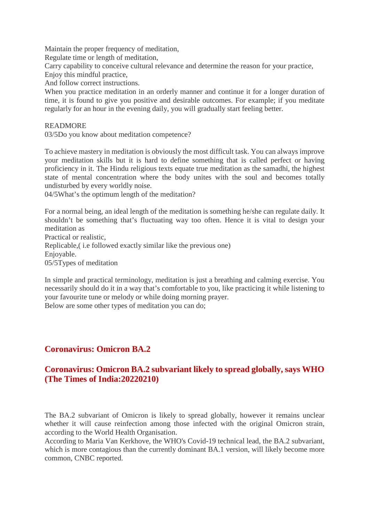Maintain the proper frequency of meditation,

Regulate time or length of meditation,

Carry capability to conceive cultural relevance and determine the reason for your practice,

Enjoy this mindful practice,

And follow correct instructions.

When you practice meditation in an orderly manner and continue it for a longer duration of time, it is found to give you positive and desirable outcomes. For example; if you meditate regularly for an hour in the evening daily, you will gradually start feeling better.

#### READMORE

03/5Do you know about meditation competence?

To achieve mastery in meditation is obviously the most difficult task. You can always improve your meditation skills but it is hard to define something that is called perfect or having proficiency in it. The Hindu religious texts equate true meditation as the samadhi, the highest state of mental concentration where the body unites with the soul and becomes totally undisturbed by every worldly noise.

04/5What's the optimum length of the meditation?

For a normal being, an ideal length of the meditation is something he/she can regulate daily. It shouldn't be something that's fluctuating way too often. Hence it is vital to design your meditation as

Practical or realistic, Replicable,( i.e followed exactly similar like the previous one) Enjoyable. 05/5Types of meditation

In simple and practical terminology, meditation is just a breathing and calming exercise. You necessarily should do it in a way that's comfortable to you, like practicing it while listening to your favourite tune or melody or while doing morning prayer.

Below are some other types of meditation you can do;

# **Coronavirus: Omicron BA.2**

# **Coronavirus: Omicron BA.2 subvariant likely to spread globally, says WHO (The Times of India:20220210)**

The BA.2 subvariant of Omicron is likely to spread globally, however it remains unclear whether it will cause reinfection among those infected with the original Omicron strain, according to the World Health Organisation.

According to Maria Van Kerkhove, the WHO's Covid-19 technical lead, the BA.2 subvariant, which is more contagious than the currently dominant BA.1 version, will likely become more common, CNBC reported.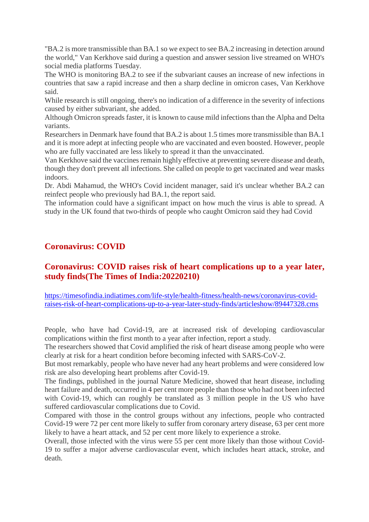"BA.2 is more transmissible than BA.1 so we expect to see BA.2 increasing in detection around the world," Van Kerkhove said during a question and answer session live streamed on WHO's social media platforms Tuesday.

The WHO is monitoring BA.2 to see if the subvariant causes an increase of new infections in countries that saw a rapid increase and then a sharp decline in omicron cases, Van Kerkhove said.

While research is still ongoing, there's no indication of a difference in the severity of infections caused by either subvariant, she added.

Although Omicron spreads faster, it is known to cause mild infections than the Alpha and Delta variants.

Researchers in Denmark have found that BA.2 is about 1.5 times more transmissible than BA.1 and it is more adept at infecting people who are vaccinated and even boosted. However, people who are fully vaccinated are less likely to spread it than the unvaccinated.

Van Kerkhove said the vaccines remain highly effective at preventing severe disease and death, though they don't prevent all infections. She called on people to get vaccinated and wear masks indoors.

Dr. Abdi Mahamud, the WHO's Covid incident manager, said it's unclear whether BA.2 can reinfect people who previously had BA.1, the report said.

The information could have a significant impact on how much the virus is able to spread. A study in the UK found that two-thirds of people who caught Omicron said they had Covid

# **Coronavirus: COVID**

# **Coronavirus: COVID raises risk of heart complications up to a year later, study finds(The Times of India:20220210)**

https://timesofindia.indiatimes.com/life-style/health-fitness/health-news/coronavirus-covidraises-risk-of-heart-complications-up-to-a-year-later-study-finds/articleshow/89447328.cms

People, who have had Covid-19, are at increased risk of developing cardiovascular complications within the first month to a year after infection, report a study.

The researchers showed that Covid amplified the risk of heart disease among people who were clearly at risk for a heart condition before becoming infected with SARS-CoV-2.

But most remarkably, people who have never had any heart problems and were considered low risk are also developing heart problems after Covid-19.

The findings, published in the journal Nature Medicine, showed that heart disease, including heart failure and death, occurred in 4 per cent more people than those who had not been infected with Covid-19, which can roughly be translated as 3 million people in the US who have suffered cardiovascular complications due to Covid.

Compared with those in the control groups without any infections, people who contracted Covid-19 were 72 per cent more likely to suffer from coronary artery disease, 63 per cent more likely to have a heart attack, and 52 per cent more likely to experience a stroke.

Overall, those infected with the virus were 55 per cent more likely than those without Covid-19 to suffer a major adverse cardiovascular event, which includes heart attack, stroke, and death.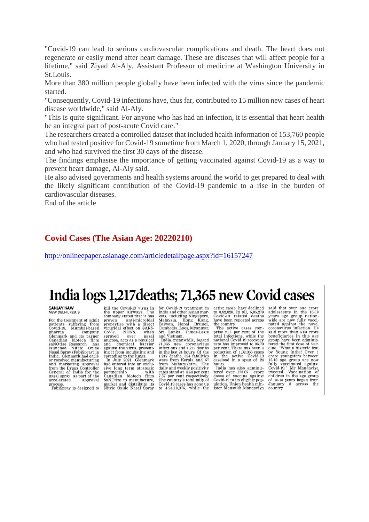"Covid-19 can lead to serious cardiovascular complications and death. The heart does not regenerate or easily mend after heart damage. These are diseases that will affect people for a lifetime," said Ziyad Al-Aly, Assistant Professor of medicine at Washington University in St.Louis.

More than 380 million people globally have been infected with the virus since the pandemic started.

"Consequently, Covid-19 infections have, thus far, contributed to 15 million new cases of heart disease worldwide," said Al-Aly.

"This is quite significant. For anyone who has had an infection, it is essential that heart health be an integral part of post-acute Covid care."

The researchers created a controlled dataset that included health information of 153,760 people who had tested positive for Covid-19 sometime from March 1, 2020, through January 15, 2021, and who had survived the first 30 days of the disease.

The findings emphasise the importance of getting vaccinated against Covid-19 as a way to prevent heart damage, Al-Aly said.

He also advised governments and health systems around the world to get prepared to deal with the likely significant contribution of the Covid-19 pandemic to a rise in the burden of cardiovascular diseases.

End of the article

#### **Covid Cases (The Asian Age: 20220210)**

http://onlineepaper.asianage.com/articledetailpage.aspx?id=16157247

# India logs 1,217 deaths; 71,365 new Covid cases

## **SANJAY KAW**<br>NEW DELHI, FEB. 9

For the treatment of adult<br>patients suffering from<br>Covid-19, Mumbai-based bovid-19, Mullibal-based<br>pharma company<br>Glenmark and its parner Canadian biotech firm Canadian biotech firm<br>saNOtise Research has<br>launched Nitric Oxide<br>Nasal Spray (FabiSpray) in<br>India. Glenmark had earli-<br>er received manufacturing<br>and marketing approval<br>from the Drugs Controller General of India for the<br>nasal spray as part of the<br>accelerated approval process.<br>FabiSpray is designed to

kill the Covid-19 virus in<br>the upper airways. The the upper airways. The<br>company stated that it has proven anti-microbial<br>properties with a direct virucidal effect on SARS-CoV-2. NONS,<br>sprayed over when Sprayed over nasal<br>mucosa, acts as a physical<br>and chemical barrier<br>against the virus, prevent-<br>ing it from incubating and

spreading to the lungs.<br>In July 2021, Glenmark<br>had entered into an exclunau entereu mo an examed<br>sive long term strategic<br>partnership with<br>Canadian biotech firm<br>SANOtize to manufacture,<br>market and distribute its<br>Nitric Oxide Nasal Spray

for Covid-19 treatment in<br>India and other Asian mar-<br>kets, including Singapore,<br>Malaysia, Hong Kong,<br>Taiwan, Nepal, Brunei,<br>Cambodia, Laos, Myanmar,<br>Sri Lanka, Timor-Leste<br>and Vietnam.

India, meanwhile, logged<br>71,365 new coronavirus<br>infections and 1,217 deaths 71.365 in the last 24 hours. Of the 1,217 deaths, 824 fatalities<br>1,217 deaths, 824 fatalities<br>were from Kerala and 57<br>from Maharashtra. The from daily and weekly positivity<br>rates stand at 4.54 per cent<br>7.57 per cent respectively. The country's total tally of Covid-19 cases has gone up<br>to  $4,24,10,976$ , while the active cases have declined to 8,92,828. In all, 5,05,279<br>Covid-19 related deaths<br>have been reported across the country.

The active cases com-<br>prise 2.11 per cent of the<br>total infections, while the<br>national Covid-19 recovery rate has improved to 96.70<br>per cent. There has been a reduction of 1.02.063 cases in the active Covid-19<br>caseload in a span of 24 hours.

India has also administered over 170.87 crore<br>doses of vaccine against<br>Covid-19 to its eligible population. Union health minister Mansukh Mandaviya

said that over one crore<br>adolescents in the 15-18 vears age group nation-<br>wide are now fully vacci-<br>nated against the novel coronavirus infection. He coronavirus infection. He<br>said more than 5.04 crore<br>beneficiaries in this age group have been administered the first dose of vac-<br>tered the first dose of vac-<br>time. "What a historic feat<br>by Young India! Over 1<br>15-18 age group are now<br>fully vaccinated against<br>Covid-19," Mr Mandaviya<br>tweeted. Vaccinat group have been adminiscountry.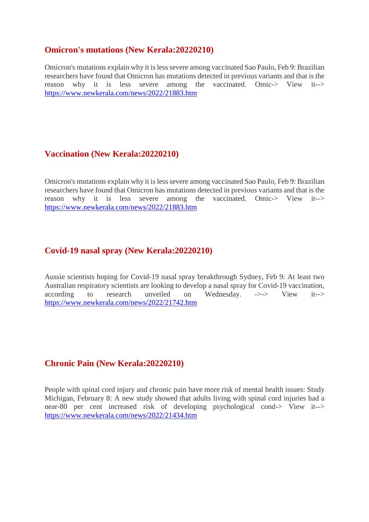# **Omicron's mutations (New Kerala:20220210)**

Omicron's mutations explain why it is less severe among vaccinated Sao Paulo, Feb 9: Brazilian researchers have found that Omicron has mutations detected in previous variants and that is the reason why it is less severe among the vaccinated. Omic-> View it--> https://www.newkerala.com/news/2022/21883.htm

# **Vaccination (New Kerala:20220210)**

Omicron's mutations explain why it is less severe among vaccinated Sao Paulo, Feb 9: Brazilian researchers have found that Omicron has mutations detected in previous variants and that is the reason why it is less severe among the vaccinated. Omic-> View it--> https://www.newkerala.com/news/2022/21883.htm

# **Covid-19 nasal spray (New Kerala:20220210)**

Aussie scientists hoping for Covid-19 nasal spray breakthrough Sydney, Feb 9: At least two Australian respiratory scientists are looking to develop a nasal spray for Covid-19 vaccination, according to research unveiled on Wednesday. ->-> View it--> https://www.newkerala.com/news/2022/21742.htm

## **Chronic Pain (New Kerala:20220210)**

People with spinal cord injury and chronic pain have more risk of mental health issues: Study Michigan, February 8: A new study showed that adults living with spinal cord injuries had a near-80 per cent increased risk of developing psychological cond-> View it--> https://www.newkerala.com/news/2022/21434.htm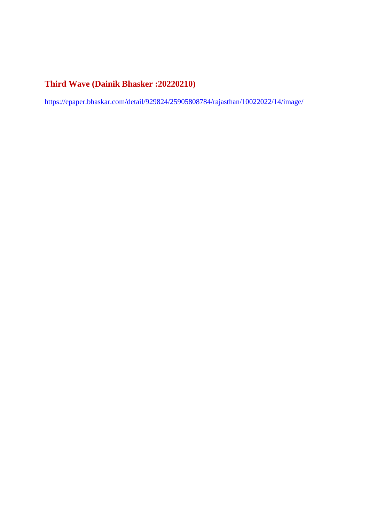# **Third Wave (Dainik Bhasker :20220210)**

https://epaper.bhaskar.com/detail/929824/25905808784/rajasthan/10022022/14/image/